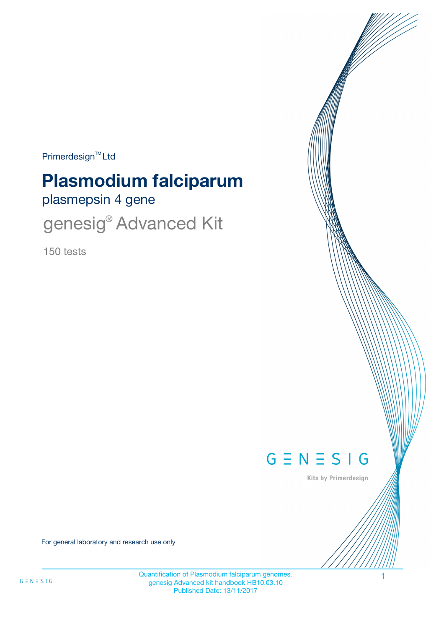Primerdesign<sup>™</sup>Ltd

# **Plasmodium falciparum**

plasmepsin 4 gene

genesig<sup>®</sup> Advanced Kit

150 tests



Kits by Primerdesign

For general laboratory and research use only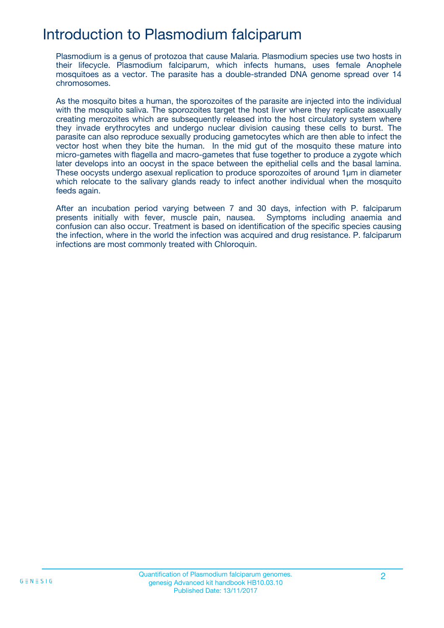## Introduction to Plasmodium falciparum

Plasmodium is a genus of protozoa that cause Malaria. Plasmodium species use two hosts in their lifecycle. Plasmodium falciparum, which infects humans, uses female Anophele mosquitoes as a vector. The parasite has a double-stranded DNA genome spread over 14 chromosomes.

As the mosquito bites a human, the sporozoites of the parasite are injected into the individual with the mosquito saliva. The sporozoites target the host liver where they replicate asexually creating merozoites which are subsequently released into the host circulatory system where they invade erythrocytes and undergo nuclear division causing these cells to burst. The parasite can also reproduce sexually producing gametocytes which are then able to infect the vector host when they bite the human. In the mid gut of the mosquito these mature into micro-gametes with flagella and macro-gametes that fuse together to produce a zygote which later develops into an oocyst in the space between the epithelial cells and the basal lamina. These oocysts undergo asexual replication to produce sporozoites of around 1µm in diameter which relocate to the salivary glands ready to infect another individual when the mosquito feeds again.

After an incubation period varying between 7 and 30 days, infection with P. falciparum presents initially with fever, muscle pain, nausea. Symptoms including anaemia and confusion can also occur. Treatment is based on identification of the specific species causing the infection, where in the world the infection was acquired and drug resistance. P. falciparum infections are most commonly treated with Chloroquin.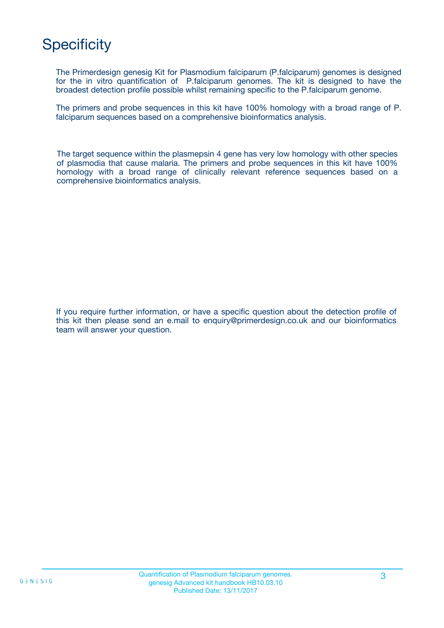## **Specificity**

The Primerdesign genesig Kit for Plasmodium falciparum (P.falciparum) genomes is designed for the in vitro quantification of P.falciparum genomes. The kit is designed to have the broadest detection profile possible whilst remaining specific to the P.falciparum genome.

The primers and probe sequences in this kit have 100% homology with a broad range of P. falciparum sequences based on a comprehensive bioinformatics analysis.

The target sequence within the plasmepsin 4 gene has very low homology with other species of plasmodia that cause malaria. The primers and probe sequences in this kit have 100% homology with a broad range of clinically relevant reference sequences based on a comprehensive bioinformatics analysis.

If you require further information, or have a specific question about the detection profile of this kit then please send an e.mail to enquiry@primerdesign.co.uk and our bioinformatics team will answer your question.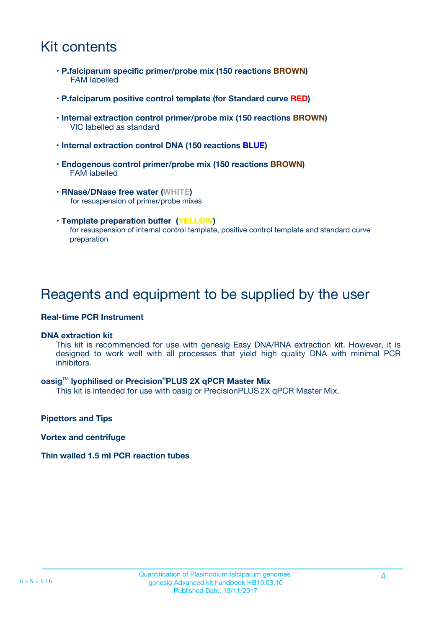## Kit contents

- **P.falciparum specific primer/probe mix (150 reactions BROWN)** FAM labelled
- **P.falciparum positive control template (for Standard curve RED)**
- **Internal extraction control primer/probe mix (150 reactions BROWN)** VIC labelled as standard
- **Internal extraction control DNA (150 reactions BLUE)**
- **Endogenous control primer/probe mix (150 reactions BROWN)** FAM labelled
- **RNase/DNase free water (WHITE)** for resuspension of primer/probe mixes
- **Template preparation buffer (YELLOW)** for resuspension of internal control template, positive control template and standard curve preparation

### Reagents and equipment to be supplied by the user

#### **Real-time PCR Instrument**

#### **DNA extraction kit**

This kit is recommended for use with genesig Easy DNA/RNA extraction kit. However, it is designed to work well with all processes that yield high quality DNA with minimal PCR inhibitors.

#### **oasig**TM **lyophilised or Precision**®**PLUS 2X qPCR Master Mix**

This kit is intended for use with oasig or PrecisionPLUS2X qPCR Master Mix.

**Pipettors and Tips**

**Vortex and centrifuge**

#### **Thin walled 1.5 ml PCR reaction tubes**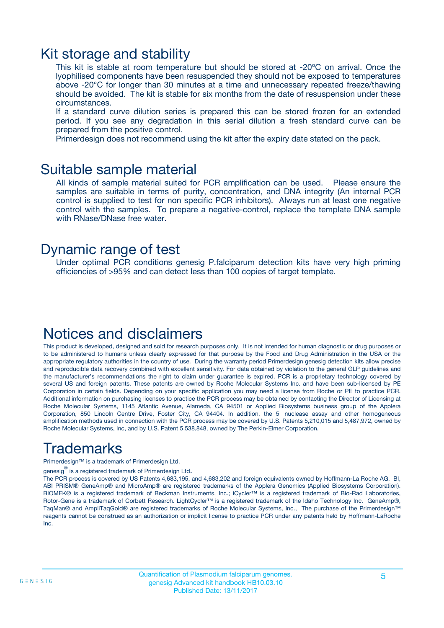### Kit storage and stability

This kit is stable at room temperature but should be stored at -20ºC on arrival. Once the lyophilised components have been resuspended they should not be exposed to temperatures above -20°C for longer than 30 minutes at a time and unnecessary repeated freeze/thawing should be avoided. The kit is stable for six months from the date of resuspension under these circumstances.

If a standard curve dilution series is prepared this can be stored frozen for an extended period. If you see any degradation in this serial dilution a fresh standard curve can be prepared from the positive control.

Primerdesign does not recommend using the kit after the expiry date stated on the pack.

### Suitable sample material

All kinds of sample material suited for PCR amplification can be used. Please ensure the samples are suitable in terms of purity, concentration, and DNA integrity (An internal PCR control is supplied to test for non specific PCR inhibitors). Always run at least one negative control with the samples. To prepare a negative-control, replace the template DNA sample with RNase/DNase free water.

### Dynamic range of test

Under optimal PCR conditions genesig P.falciparum detection kits have very high priming efficiencies of >95% and can detect less than 100 copies of target template.

### Notices and disclaimers

This product is developed, designed and sold for research purposes only. It is not intended for human diagnostic or drug purposes or to be administered to humans unless clearly expressed for that purpose by the Food and Drug Administration in the USA or the appropriate regulatory authorities in the country of use. During the warranty period Primerdesign genesig detection kits allow precise and reproducible data recovery combined with excellent sensitivity. For data obtained by violation to the general GLP guidelines and the manufacturer's recommendations the right to claim under guarantee is expired. PCR is a proprietary technology covered by several US and foreign patents. These patents are owned by Roche Molecular Systems Inc. and have been sub-licensed by PE Corporation in certain fields. Depending on your specific application you may need a license from Roche or PE to practice PCR. Additional information on purchasing licenses to practice the PCR process may be obtained by contacting the Director of Licensing at Roche Molecular Systems, 1145 Atlantic Avenue, Alameda, CA 94501 or Applied Biosystems business group of the Applera Corporation, 850 Lincoln Centre Drive, Foster City, CA 94404. In addition, the 5' nuclease assay and other homogeneous amplification methods used in connection with the PCR process may be covered by U.S. Patents 5,210,015 and 5,487,972, owned by Roche Molecular Systems, Inc, and by U.S. Patent 5,538,848, owned by The Perkin-Elmer Corporation.

## Trademarks

Primerdesign™ is a trademark of Primerdesign Ltd.

genesig $^\circledR$  is a registered trademark of Primerdesign Ltd.

The PCR process is covered by US Patents 4,683,195, and 4,683,202 and foreign equivalents owned by Hoffmann-La Roche AG. BI, ABI PRISM® GeneAmp® and MicroAmp® are registered trademarks of the Applera Genomics (Applied Biosystems Corporation). BIOMEK® is a registered trademark of Beckman Instruments, Inc.; iCycler™ is a registered trademark of Bio-Rad Laboratories, Rotor-Gene is a trademark of Corbett Research. LightCycler™ is a registered trademark of the Idaho Technology Inc. GeneAmp®, TaqMan® and AmpliTaqGold® are registered trademarks of Roche Molecular Systems, Inc., The purchase of the Primerdesign™ reagents cannot be construed as an authorization or implicit license to practice PCR under any patents held by Hoffmann-LaRoche Inc.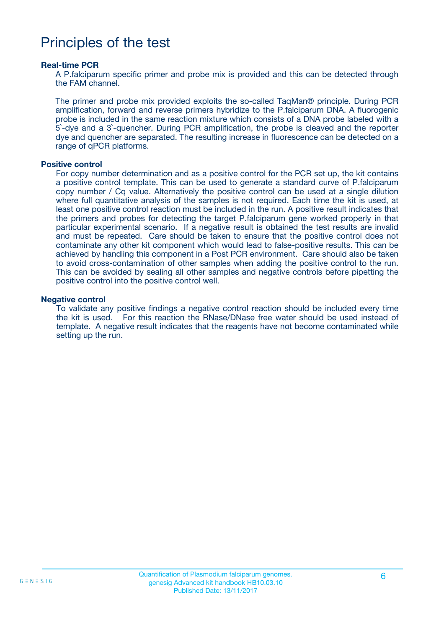## Principles of the test

#### **Real-time PCR**

A P.falciparum specific primer and probe mix is provided and this can be detected through the FAM channel.

The primer and probe mix provided exploits the so-called TaqMan® principle. During PCR amplification, forward and reverse primers hybridize to the P.falciparum DNA. A fluorogenic probe is included in the same reaction mixture which consists of a DNA probe labeled with a 5`-dye and a 3`-quencher. During PCR amplification, the probe is cleaved and the reporter dye and quencher are separated. The resulting increase in fluorescence can be detected on a range of qPCR platforms.

#### **Positive control**

For copy number determination and as a positive control for the PCR set up, the kit contains a positive control template. This can be used to generate a standard curve of P.falciparum copy number / Cq value. Alternatively the positive control can be used at a single dilution where full quantitative analysis of the samples is not required. Each time the kit is used, at least one positive control reaction must be included in the run. A positive result indicates that the primers and probes for detecting the target P.falciparum gene worked properly in that particular experimental scenario. If a negative result is obtained the test results are invalid and must be repeated. Care should be taken to ensure that the positive control does not contaminate any other kit component which would lead to false-positive results. This can be achieved by handling this component in a Post PCR environment. Care should also be taken to avoid cross-contamination of other samples when adding the positive control to the run. This can be avoided by sealing all other samples and negative controls before pipetting the positive control into the positive control well.

#### **Negative control**

To validate any positive findings a negative control reaction should be included every time the kit is used. For this reaction the RNase/DNase free water should be used instead of template. A negative result indicates that the reagents have not become contaminated while setting up the run.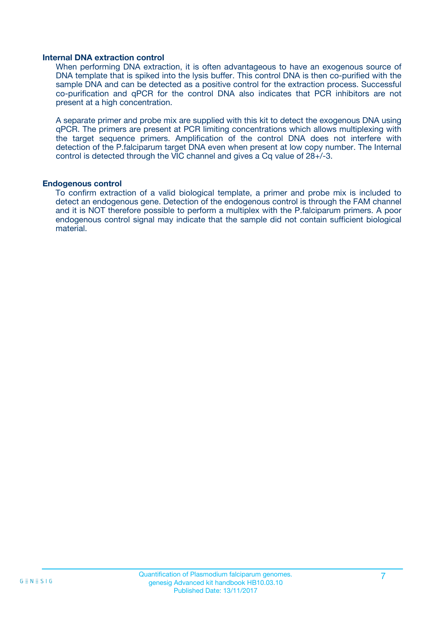#### **Internal DNA extraction control**

When performing DNA extraction, it is often advantageous to have an exogenous source of DNA template that is spiked into the lysis buffer. This control DNA is then co-purified with the sample DNA and can be detected as a positive control for the extraction process. Successful co-purification and qPCR for the control DNA also indicates that PCR inhibitors are not present at a high concentration.

A separate primer and probe mix are supplied with this kit to detect the exogenous DNA using qPCR. The primers are present at PCR limiting concentrations which allows multiplexing with the target sequence primers. Amplification of the control DNA does not interfere with detection of the P.falciparum target DNA even when present at low copy number. The Internal control is detected through the VIC channel and gives a Cq value of 28+/-3.

#### **Endogenous control**

To confirm extraction of a valid biological template, a primer and probe mix is included to detect an endogenous gene. Detection of the endogenous control is through the FAM channel and it is NOT therefore possible to perform a multiplex with the P.falciparum primers. A poor endogenous control signal may indicate that the sample did not contain sufficient biological material.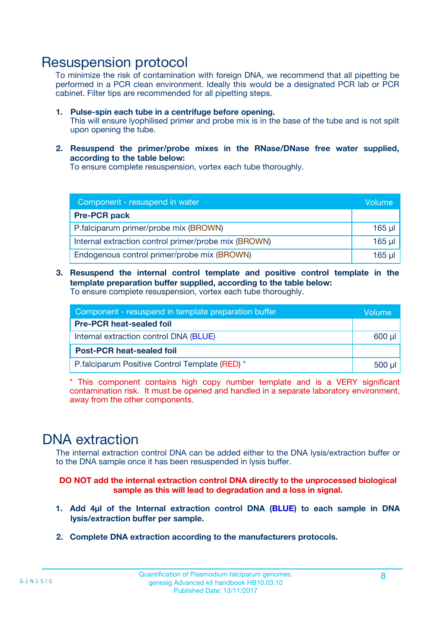### Resuspension protocol

To minimize the risk of contamination with foreign DNA, we recommend that all pipetting be performed in a PCR clean environment. Ideally this would be a designated PCR lab or PCR cabinet. Filter tips are recommended for all pipetting steps.

- **1. Pulse-spin each tube in a centrifuge before opening.** This will ensure lyophilised primer and probe mix is in the base of the tube and is not spilt upon opening the tube.
- **2. Resuspend the primer/probe mixes in the RNase/DNase free water supplied, according to the table below:**

To ensure complete resuspension, vortex each tube thoroughly.

| Component - resuspend in water                       |          |  |
|------------------------------------------------------|----------|--|
| <b>Pre-PCR pack</b>                                  |          |  |
| P.falciparum primer/probe mix (BROWN)                | $165$ µl |  |
| Internal extraction control primer/probe mix (BROWN) | $165$ µl |  |
| Endogenous control primer/probe mix (BROWN)          | 165 µl   |  |

**3. Resuspend the internal control template and positive control template in the template preparation buffer supplied, according to the table below:** To ensure complete resuspension, vortex each tube thoroughly.

| Component - resuspend in template preparation buffer |  |  |  |
|------------------------------------------------------|--|--|--|
| <b>Pre-PCR heat-sealed foil</b>                      |  |  |  |
| Internal extraction control DNA (BLUE)               |  |  |  |
| <b>Post-PCR heat-sealed foil</b>                     |  |  |  |
| P.falciparum Positive Control Template (RED) *       |  |  |  |

\* This component contains high copy number template and is a VERY significant contamination risk. It must be opened and handled in a separate laboratory environment, away from the other components.

### DNA extraction

The internal extraction control DNA can be added either to the DNA lysis/extraction buffer or to the DNA sample once it has been resuspended in lysis buffer.

**DO NOT add the internal extraction control DNA directly to the unprocessed biological sample as this will lead to degradation and a loss in signal.**

- **1. Add 4µl of the Internal extraction control DNA (BLUE) to each sample in DNA lysis/extraction buffer per sample.**
- **2. Complete DNA extraction according to the manufacturers protocols.**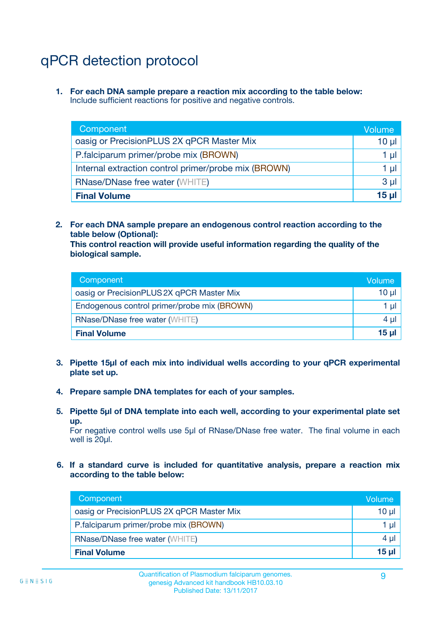## qPCR detection protocol

**1. For each DNA sample prepare a reaction mix according to the table below:** Include sufficient reactions for positive and negative controls.

| Component                                            | Volume   |
|------------------------------------------------------|----------|
| oasig or PrecisionPLUS 2X qPCR Master Mix            | $10 \mu$ |
| P.falciparum primer/probe mix (BROWN)                | 1 µI l   |
| Internal extraction control primer/probe mix (BROWN) | 1 µl     |
| <b>RNase/DNase free water (WHITE)</b>                | $3 \mu$  |
| <b>Final Volume</b>                                  | 15 µl    |

**2. For each DNA sample prepare an endogenous control reaction according to the table below (Optional):**

**This control reaction will provide useful information regarding the quality of the biological sample.**

| Component                                   | Volume          |
|---------------------------------------------|-----------------|
| oasig or PrecisionPLUS 2X qPCR Master Mix   | $10 \mu$        |
| Endogenous control primer/probe mix (BROWN) | 1 µI            |
| <b>RNase/DNase free water (WHITE)</b>       | 4 µl            |
| <b>Final Volume</b>                         | 15 <sub>µ</sub> |

- **3. Pipette 15µl of each mix into individual wells according to your qPCR experimental plate set up.**
- **4. Prepare sample DNA templates for each of your samples.**
- **5. Pipette 5µl of DNA template into each well, according to your experimental plate set up.**

For negative control wells use 5µl of RNase/DNase free water. The final volume in each well is 20ul.

**6. If a standard curve is included for quantitative analysis, prepare a reaction mix according to the table below:**

| Component                                 | Volume  |
|-------------------------------------------|---------|
| oasig or PrecisionPLUS 2X qPCR Master Mix | 10 µl   |
| P.falciparum primer/probe mix (BROWN)     | 1 µI    |
| <b>RNase/DNase free water (WHITE)</b>     | $4 \mu$ |
| <b>Final Volume</b>                       | 15 µl   |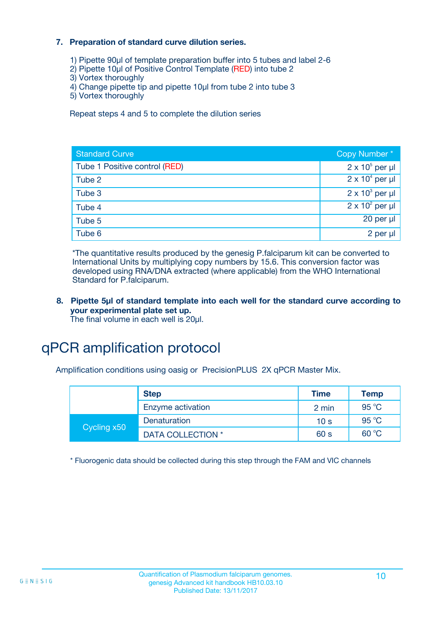#### **7. Preparation of standard curve dilution series.**

- 1) Pipette 90µl of template preparation buffer into 5 tubes and label 2-6
- 2) Pipette 10µl of Positive Control Template (RED) into tube 2
- 3) Vortex thoroughly
- 4) Change pipette tip and pipette 10µl from tube 2 into tube 3
- 5) Vortex thoroughly

Repeat steps 4 and 5 to complete the dilution series

| <b>Standard Curve</b>         | Copy Number*           |
|-------------------------------|------------------------|
| Tube 1 Positive control (RED) | $2 \times 10^5$ per µl |
| Tube 2                        | $2 \times 10^4$ per µl |
| Tube 3                        | $2 \times 10^3$ per µl |
| Tube 4                        | $2 \times 10^2$ per µl |
| Tube 5                        | 20 per µl              |
| Tube 6                        | 2 per µl               |

\*The quantitative results produced by the genesig P.falciparum kit can be converted to International Units by multiplying copy numbers by 15.6. This conversion factor was developed using RNA/DNA extracted (where applicable) from the WHO International Standard for P.falciparum.

#### **8. Pipette 5µl of standard template into each well for the standard curve according to your experimental plate set up.** The final volume in each well is 20ul.

qPCR amplification protocol

Amplification conditions using oasig or PrecisionPLUS 2X qPCR Master Mix.

|             | <b>Step</b>       | <b>Time</b>     | <b>Temp</b> |
|-------------|-------------------|-----------------|-------------|
|             | Enzyme activation | 2 min           | 95 °C       |
| Cycling x50 | Denaturation      | 10 <sub>s</sub> | 95 °C       |
|             | DATA COLLECTION * | 60 s            | 60 °C       |

\* Fluorogenic data should be collected during this step through the FAM and VIC channels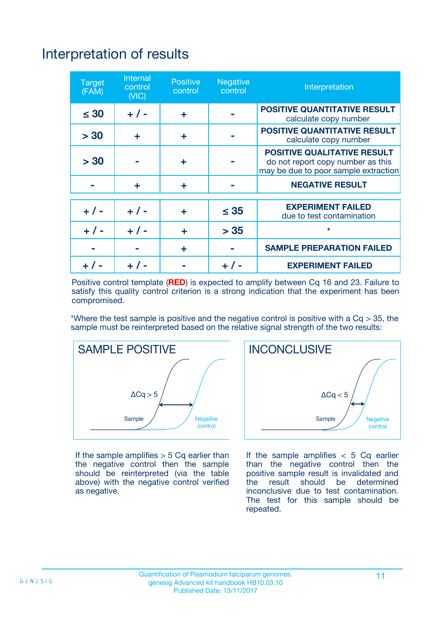## Interpretation of results

| <b>Target</b><br>(FAM) | <b>Internal</b><br>control<br>(NIC) | <b>Positive</b><br>control | <b>Negative</b><br>control | Interpretation                                                                                                  |
|------------------------|-------------------------------------|----------------------------|----------------------------|-----------------------------------------------------------------------------------------------------------------|
| $\leq 30$              | $+ 1 -$                             | ÷                          |                            | <b>POSITIVE QUANTITATIVE RESULT</b><br>calculate copy number                                                    |
| > 30                   | ٠                                   | ÷                          |                            | <b>POSITIVE QUANTITATIVE RESULT</b><br>calculate copy number                                                    |
| > 30                   |                                     | ÷                          |                            | <b>POSITIVE QUALITATIVE RESULT</b><br>do not report copy number as this<br>may be due to poor sample extraction |
|                        | ÷                                   | ÷                          |                            | <b>NEGATIVE RESULT</b>                                                                                          |
| $+ 1 -$                | $+ 1 -$                             | ÷                          | $\leq$ 35                  | <b>EXPERIMENT FAILED</b><br>due to test contamination                                                           |
| $+$ / -                | $+ 1 -$                             | ÷                          | > 35                       | $\star$                                                                                                         |
|                        |                                     | ÷                          |                            | <b>SAMPLE PREPARATION FAILED</b>                                                                                |
|                        |                                     |                            | $+$ /                      | <b>EXPERIMENT FAILED</b>                                                                                        |

Positive control template (**RED**) is expected to amplify between Cq 16 and 23. Failure to satisfy this quality control criterion is a strong indication that the experiment has been compromised.

\*Where the test sample is positive and the negative control is positive with a  $Ca > 35$ , the sample must be reinterpreted based on the relative signal strength of the two results:



If the sample amplifies  $> 5$  Cq earlier than the negative control then the sample should be reinterpreted (via the table above) with the negative control verified as negative.



If the sample amplifies  $< 5$  Cq earlier than the negative control then the positive sample result is invalidated and<br>the result should be determined  $the$  result should be inconclusive due to test contamination. The test for this sample should be repeated.